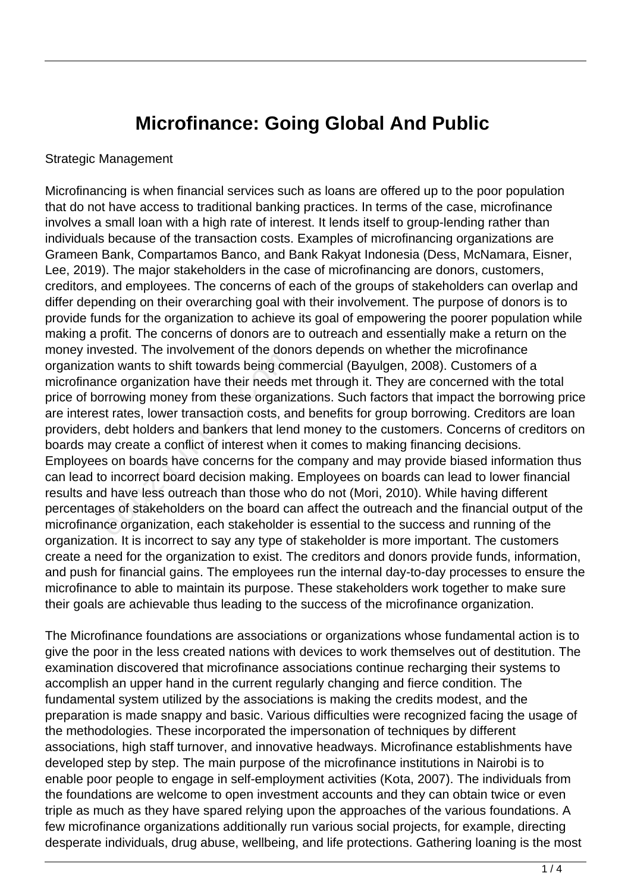## **Microfinance: Going Global And Public**

## Strategic Management

Microfinancing is when financial services such as loans are offered up to the poor population that do not have access to traditional banking practices. In terms of the case, microfinance involves a small loan with a high rate of interest. It lends itself to group-lending rather than individuals because of the transaction costs. Examples of microfinancing organizations are Grameen Bank, Compartamos Banco, and Bank Rakyat Indonesia (Dess, McNamara, Eisner, Lee, 2019). The major stakeholders in the case of microfinancing are donors, customers, creditors, and employees. The concerns of each of the groups of stakeholders can overlap and differ depending on their overarching goal with their involvement. The purpose of donors is to provide funds for the organization to achieve its goal of empowering the poorer population while making a profit. The concerns of donors are to outreach and essentially make a return on the money invested. The involvement of the donors depends on whether the microfinance organization wants to shift towards being commercial (Bayulgen, 2008). Customers of a microfinance organization have their needs met through it. They are concerned with the total price of borrowing money from these organizations. Such factors that impact the borrowing price are interest rates, lower transaction costs, and benefits for group borrowing. Creditors are loan providers, debt holders and bankers that lend money to the customers. Concerns of creditors on boards may create a conflict of interest when it comes to making financing decisions. Employees on boards have concerns for the company and may provide biased information thus can lead to incorrect board decision making. Employees on boards can lead to lower financial results and have less outreach than those who do not (Mori, 2010). While having different percentages of stakeholders on the board can affect the outreach and the financial output of the microfinance organization, each stakeholder is essential to the success and running of the organization. It is incorrect to say any type of stakeholder is more important. The customers create a need for the organization to exist. The creditors and donors provide funds, information, and push for financial gains. The employees run the internal day-to-day processes to ensure the microfinance to able to maintain its purpose. These stakeholders work together to make sure their goals are achievable thus leading to the success of the microfinance organization. on wants to shift towards being com<br>
ore organization have their needs in<br>
rrowing money from these organiz<br>
t rates, lower transaction costs, and<br>
debt holders and bankers that len<br>
by create a conflict of interest where<br>

The Microfinance foundations are associations or organizations whose fundamental action is to give the poor in the less created nations with devices to work themselves out of destitution. The examination discovered that microfinance associations continue recharging their systems to accomplish an upper hand in the current regularly changing and fierce condition. The fundamental system utilized by the associations is making the credits modest, and the preparation is made snappy and basic. Various difficulties were recognized facing the usage of the methodologies. These incorporated the impersonation of techniques by different associations, high staff turnover, and innovative headways. Microfinance establishments have developed step by step. The main purpose of the microfinance institutions in Nairobi is to enable poor people to engage in self-employment activities (Kota, 2007). The individuals from the foundations are welcome to open investment accounts and they can obtain twice or even triple as much as they have spared relying upon the approaches of the various foundations. A few microfinance organizations additionally run various social projects, for example, directing desperate individuals, drug abuse, wellbeing, and life protections. Gathering loaning is the most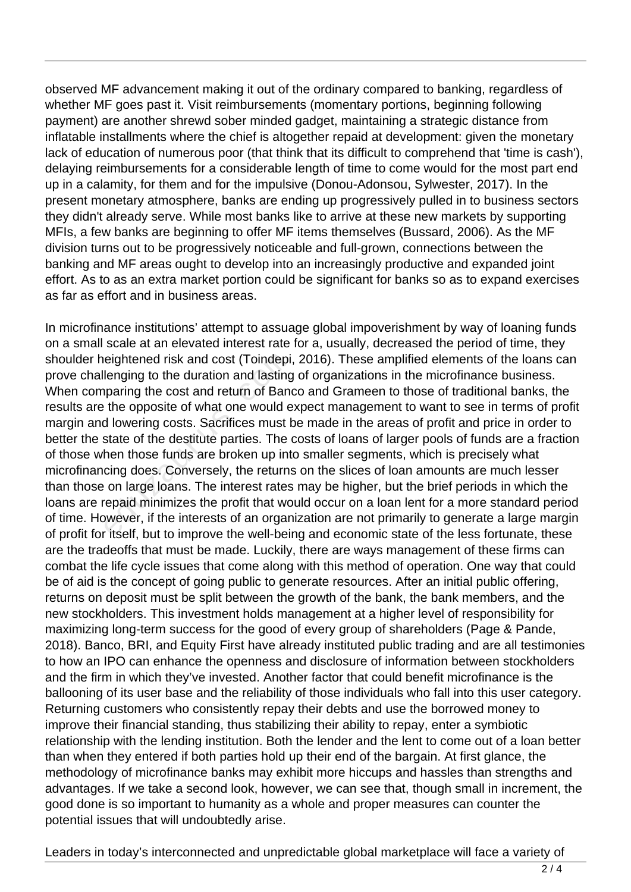observed MF advancement making it out of the ordinary compared to banking, regardless of whether MF goes past it. Visit reimbursements (momentary portions, beginning following payment) are another shrewd sober minded gadget, maintaining a strategic distance from inflatable installments where the chief is altogether repaid at development: given the monetary lack of education of numerous poor (that think that its difficult to comprehend that 'time is cash'), delaying reimbursements for a considerable length of time to come would for the most part end up in a calamity, for them and for the impulsive (Donou-Adonsou, Sylwester, 2017). In the present monetary atmosphere, banks are ending up progressively pulled in to business sectors they didn't already serve. While most banks like to arrive at these new markets by supporting MFIs, a few banks are beginning to offer MF items themselves (Bussard, 2006). As the MF division turns out to be progressively noticeable and full-grown, connections between the banking and MF areas ought to develop into an increasingly productive and expanded joint effort. As to as an extra market portion could be significant for banks so as to expand exercises as far as effort and in business areas.

In microfinance institutions' attempt to assuage global impoverishment by way of loaning funds on a small scale at an elevated interest rate for a, usually, decreased the period of time, they shoulder heightened risk and cost (Toindepi, 2016). These amplified elements of the loans can prove challenging to the duration and lasting of organizations in the microfinance business. When comparing the cost and return of Banco and Grameen to those of traditional banks, the results are the opposite of what one would expect management to want to see in terms of profit margin and lowering costs. Sacrifices must be made in the areas of profit and price in order to better the state of the destitute parties. The costs of loans of larger pools of funds are a fraction of those when those funds are broken up into smaller segments, which is precisely what microfinancing does. Conversely, the returns on the slices of loan amounts are much lesser than those on large loans. The interest rates may be higher, but the brief periods in which the loans are repaid minimizes the profit that would occur on a loan lent for a more standard period of time. However, if the interests of an organization are not primarily to generate a large margin of profit for itself, but to improve the well-being and economic state of the less fortunate, these are the tradeoffs that must be made. Luckily, there are ways management of these firms can combat the life cycle issues that come along with this method of operation. One way that could be of aid is the concept of going public to generate resources. After an initial public offering, returns on deposit must be split between the growth of the bank, the bank members, and the new stockholders. This investment holds management at a higher level of responsibility for maximizing long-term success for the good of every group of shareholders (Page & Pande, 2018). Banco, BRI, and Equity First have already instituted public trading and are all testimonies to how an IPO can enhance the openness and disclosure of information between stockholders and the firm in which they've invested. Another factor that could benefit microfinance is the ballooning of its user base and the reliability of those individuals who fall into this user category. Returning customers who consistently repay their debts and use the borrowed money to improve their financial standing, thus stabilizing their ability to repay, enter a symbiotic relationship with the lending institution. Both the lender and the lent to come out of a loan better than when they entered if both parties hold up their end of the bargain. At first glance, the methodology of microfinance banks may exhibit more hiccups and hassles than strengths and advantages. If we take a second look, however, we can see that, though small in increment, the good done is so important to humanity as a whole and proper measures can counter the potential issues that will undoubtedly arise. eightened risk and cost (Toindepi<br>lenging to the duration and lasting<br>paring the cost and return of Band<br>the opposite of what one would e<br>d lowering costs. Sacrifices must k<br>state of the destitute parties. The o<br>hen those

Leaders in today's interconnected and unpredictable global marketplace will face a variety of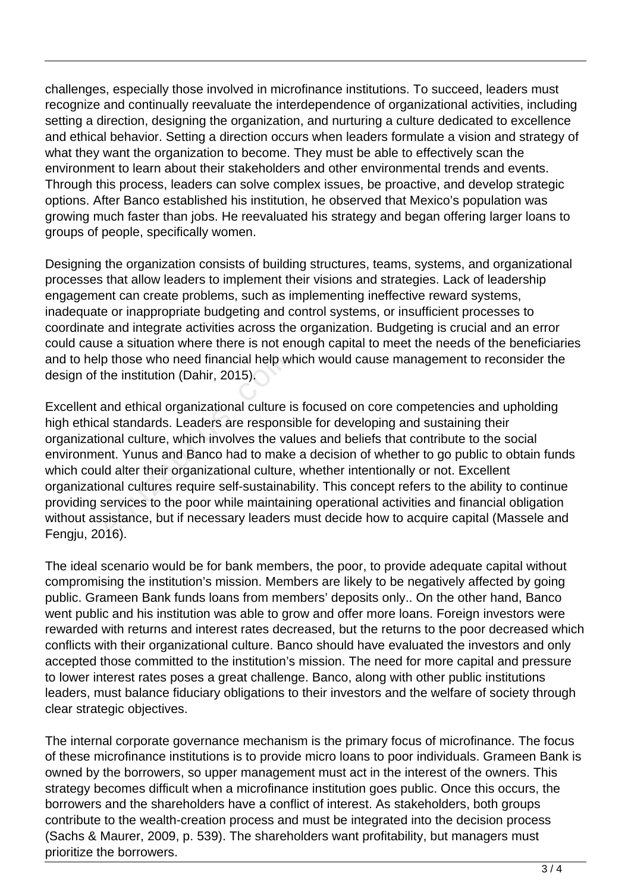challenges, especially those involved in microfinance institutions. To succeed, leaders must recognize and continually reevaluate the interdependence of organizational activities, including setting a direction, designing the organization, and nurturing a culture dedicated to excellence and ethical behavior. Setting a direction occurs when leaders formulate a vision and strategy of what they want the organization to become. They must be able to effectively scan the environment to learn about their stakeholders and other environmental trends and events. Through this process, leaders can solve complex issues, be proactive, and develop strategic options. After Banco established his institution, he observed that Mexico's population was growing much faster than jobs. He reevaluated his strategy and began offering larger loans to groups of people, specifically women.

Designing the organization consists of building structures, teams, systems, and organizational processes that allow leaders to implement their visions and strategies. Lack of leadership engagement can create problems, such as implementing ineffective reward systems, inadequate or inappropriate budgeting and control systems, or insufficient processes to coordinate and integrate activities across the organization. Budgeting is crucial and an error could cause a situation where there is not enough capital to meet the needs of the beneficiaries and to help those who need financial help which would cause management to reconsider the design of the institution (Dahir, 2015).

Excellent and ethical organizational culture is focused on core competencies and upholding high ethical standards. Leaders are responsible for developing and sustaining their organizational culture, which involves the values and beliefs that contribute to the social environment. Yunus and Banco had to make a decision of whether to go public to obtain funds which could alter their organizational culture, whether intentionally or not. Excellent organizational cultures require self-sustainability. This concept refers to the ability to continue providing services to the poor while maintaining operational activities and financial obligation without assistance, but if necessary leaders must decide how to acquire capital (Massele and Fengju, 2016). o those who need financial help w<br>he institution (Dahir, 2015).<br>and ethical organizational culture i<br>al standards. Leaders are respons<br>onal culture, which involves the va<br>nt. Yunus and Banco had to make<br>d alter their organ

The ideal scenario would be for bank members, the poor, to provide adequate capital without compromising the institution's mission. Members are likely to be negatively affected by going public. Grameen Bank funds loans from members' deposits only.. On the other hand, Banco went public and his institution was able to grow and offer more loans. Foreign investors were rewarded with returns and interest rates decreased, but the returns to the poor decreased which conflicts with their organizational culture. Banco should have evaluated the investors and only accepted those committed to the institution's mission. The need for more capital and pressure to lower interest rates poses a great challenge. Banco, along with other public institutions leaders, must balance fiduciary obligations to their investors and the welfare of society through clear strategic objectives.

The internal corporate governance mechanism is the primary focus of microfinance. The focus of these microfinance institutions is to provide micro loans to poor individuals. Grameen Bank is owned by the borrowers, so upper management must act in the interest of the owners. This strategy becomes difficult when a microfinance institution goes public. Once this occurs, the borrowers and the shareholders have a conflict of interest. As stakeholders, both groups contribute to the wealth-creation process and must be integrated into the decision process (Sachs & Maurer, 2009, p. 539). The shareholders want profitability, but managers must prioritize the borrowers.